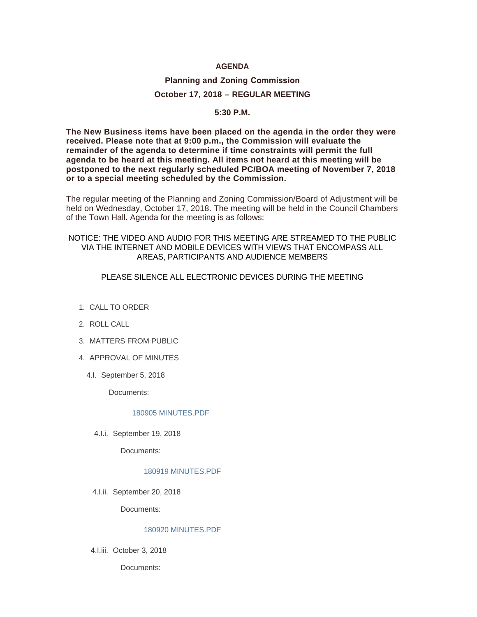## **AGENDA**

# **Planning and Zoning Commission October 17, 2018 – REGULAR MEETING**

#### **5:30 P.M.**

**The New Business items have been placed on the agenda in the order they were received. Please note that at 9:00 p.m., the Commission will evaluate the remainder of the agenda to determine if time constraints will permit the full agenda to be heard at this meeting. All items not heard at this meeting will be postponed to the next regularly scheduled PC/BOA meeting of November 7, 2018 or to a special meeting scheduled by the Commission.**

The regular meeting of the Planning and Zoning Commission/Board of Adjustment will be held on Wednesday, October 17, 2018. The meeting will be held in the Council Chambers of the Town Hall. Agenda for the meeting is as follows:

## NOTICE: THE VIDEO AND AUDIO FOR THIS MEETING ARE STREAMED TO THE PUBLIC VIA THE INTERNET AND MOBILE DEVICES WITH VIEWS THAT ENCOMPASS ALL AREAS, PARTICIPANTS AND AUDIENCE MEMBERS

### PLEASE SILENCE ALL ELECTRONIC DEVICES DURING THE MEETING

- 1. CALL TO ORDER
- 2. ROLL CALL
- MATTERS FROM PUBLIC 3.
- 4. APPROVAL OF MINUTES
	- 4.I. September 5, 2018

Documents:

#### [180905 MINUTES.PDF](http://www.jacksonwy.gov/AgendaCenter/ViewFile/Item/1548?fileID=4180)

4.I.i. September 19, 2018

Documents:

#### [180919 MINUTES.PDF](http://www.jacksonwy.gov/AgendaCenter/ViewFile/Item/1645?fileID=4334)

4.I.ii. September 20, 2018

Documents:

### [180920 MINUTES.PDF](http://www.jacksonwy.gov/AgendaCenter/ViewFile/Item/1646?fileID=4337)

4.I.iii. October 3, 2018

Documents: